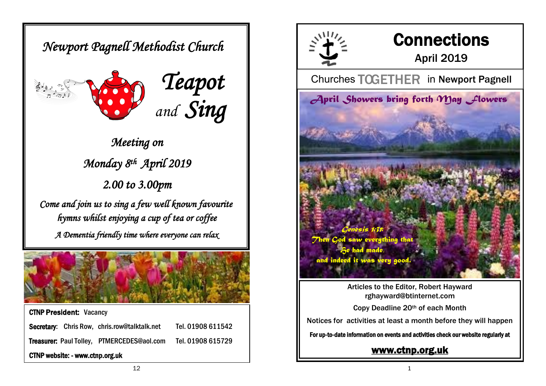*Newport Pagnell Methodist Church* 





*Meeting on Monday 8th April 2019 2.00 to 3.00pm Come and join us to sing a few well known favourite hymns whilst enjoying a cup of tea or coffee* 

*A Dementia friendly time where everyone can relax* 



CTNP President: Vacancy Secretary: Chris Row, chris.row@talktalk.net Tel. 01908 611542 Treasurer: Paul Tolley, PTMERCEDES@aol.com Tel. 01908 615729 CTNP website: - www.ctnp.org.uk



# **Connections**

## April 2019

**Churches TOGETHER in Newport Pagnell** 



Articles to the Editor, Robert Hayward rghayward@btinternet.com

Copy Deadline 20th of each Month

Notices for activities at least a month before they will happen

For up-to-date information on events and activities check our website regularly at

## [www.ctnp.org.uk](http://www.ctnp.org.uk)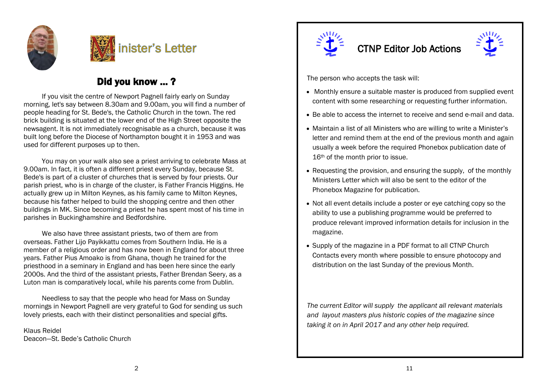



## Did you know ... ?

If you visit the centre of Newport Pagnell fairly early on Sunday morning, let's say between 8.30am and 9.00am, you will find a number of people heading for St. Bede's, the Catholic Church in the town. The red brick building is situated at the lower end of the High Street opposite the newsagent. It is not immediately recognisable as a church, because it was built long before the Diocese of Northampton bought it in 1953 and was used for different purposes up to then.

You may on your walk also see a priest arriving to celebrate Mass at 9.00am. In fact, it is often a different priest every Sunday, because St. Bede's is part of a cluster of churches that is served by four priests. Our parish priest, who is in charge of the cluster, is Father Francis Higgins. He actually grew up in Milton Keynes, as his family came to Milton Keynes, because his father helped to build the shopping centre and then other buildings in MK. Since becoming a priest he has spent most of his time in parishes in Buckinghamshire and Bedfordshire.

We also have three assistant priests, two of them are from overseas. Father Lijo Payikkattu comes from Southern India. He is a member of a religious order and has now been in England for about three years. Father Pius Amoako is from Ghana, though he trained for the priesthood in a seminary in England and has been here since the early 2000s. And the third of the assistant priests, Father Brendan Seery, as a Luton man is comparatively local, while his parents come from Dublin.

Needless to say that the people who head for Mass on Sunday mornings in Newport Pagnell are very grateful to God for sending us such lovely priests, each with their distinct personalities and special gifts.

Klaus Reidel Deacon—St. Bede's Catholic Church



## CTNP Editor Job Actions



The person who accepts the task will:

- Monthly ensure a suitable master is produced from supplied event content with some researching or requesting further information.
- Be able to access the internet to receive and send e-mail and data.
- Maintain a list of all Ministers who are willing to write a Minister's letter and remind them at the end of the previous month and again usually a week before the required Phonebox publication date of 16<sup>th</sup> of the month prior to issue.
- Requesting the provision, and ensuring the supply, of the monthly Ministers Letter which will also be sent to the editor of the Phonebox Magazine for publication.
- Not all event details include a poster or eve catching copy so the ability to use a publishing programme would be preferred to produce relevant improved information details for inclusion in the magazine.
- Supply of the magazine in a PDF format to all CTNP Church Contacts every month where possible to ensure photocopy and distribution on the last Sunday of the previous Month.

*The current Editor will supply the applicant all relevant materials and layout masters plus historic copies of the magazine since taking it on in April 2017 and any other help required.*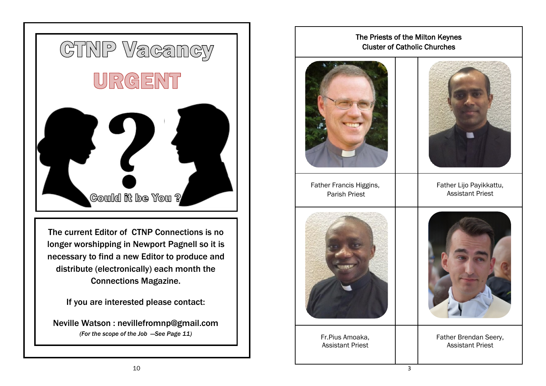

## The Priests of the Milton Keynes Cluster of Catholic Churches



Father Francis Higgins, Parish Priest



Father Lijo Payikkattu, Assistant Priest



Fr.Pius Amoaka, Assistant Priest



Father Brendan Seery, Assistant Priest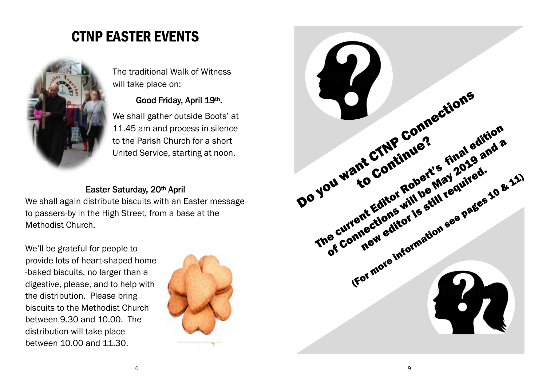## CTNP EASTER EVENTS



The traditional Walk of Witness will take place on:

## Good Friday, April 19th.

We shall gather outside Boots' at 11.45 am and process in silence to the Parish Church for a short United Service, starting at noon.

## Easter Saturday, 20th April

We shall again distribute biscuits with an Easter message to passers-by in the High Street, from a base at the Methodist Church.

We'll be grateful for people to provide lots of heart-shaped home -baked biscuits, no larger than a digestive, please, and to help with the distribution. Please bring biscuits to the Methodist Church between 9.30 and 10.00. The distribution will take place between 10.00 and 11.30.



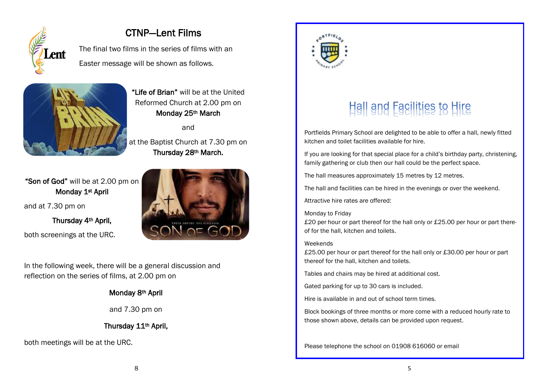

## CTNP—Lent Films

The final two films in the series of films with an Easter message will be shown as follows.



"Life of Brian" will be at the United Reformed Church at 2.00 pm on Monday 25<sup>th</sup> March

and

at the Baptist Church at 7.30 pm on Thursday 28th March.

"Son of God" will be at 2.00 pm on Monday 1<sup>st</sup> April

and at 7.30 pm on

Thursday 4th April, both screenings at the URC.

In the following week, there will be a general discussion and reflection on the series of films, at 2.00 pm on

#### Monday 8th April

#### and 7.30 pm on

## Thursday 11th April,

both meetings will be at the URC.





# Hall and Facilities to Hire

Portfields Primary School are delighted to be able to offer a hall, newly fitted kitchen and toilet facilities available for hire.

If you are looking for that special place for a child's birthday party, christening, family gathering or club then our hall could be the perfect space.

The hall measures approximately 15 metres by 12 metres.

The hall and facilities can be hired in the evenings or over the weekend.

Attractive hire rates are offered:

#### Monday to Friday

£20 per hour or part thereof for the hall only or £25.00 per hour or part thereof for the hall, kitchen and toilets.

#### Weekends

£25.00 per hour or part thereof for the hall only or £30.00 per hour or part thereof for the hall, kitchen and toilets.

Tables and chairs may be hired at additional cost.

Gated parking for up to 30 cars is included.

Hire is available in and out of school term times.

Block bookings of three months or more come with a reduced hourly rate to those shown above, details can be provided upon request.

Please telephone the school on 01908 616060 or email